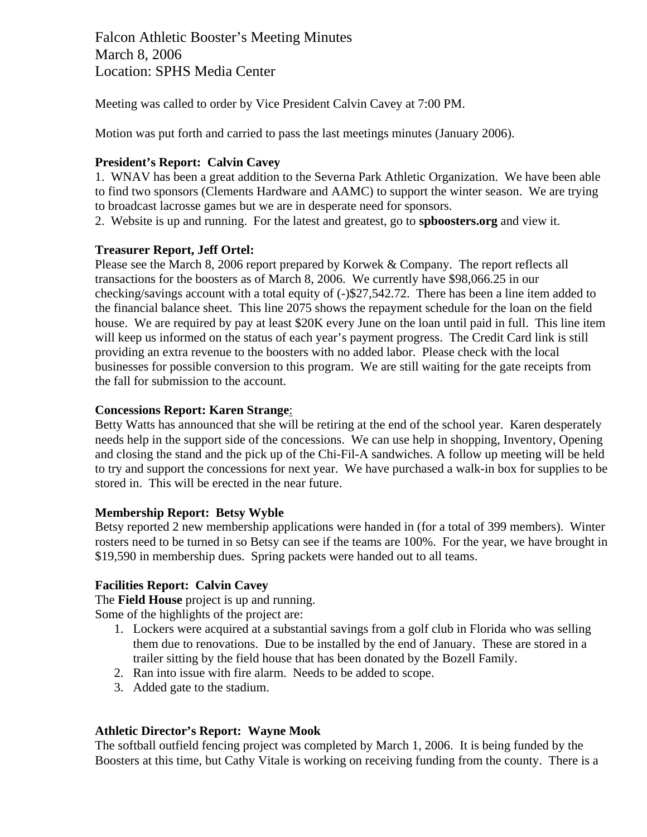Falcon Athletic Booster's Meeting Minutes March 8, 2006 Location: SPHS Media Center

Meeting was called to order by Vice President Calvin Cavey at 7:00 PM.

Motion was put forth and carried to pass the last meetings minutes (January 2006).

# **President's Report: Calvin Cavey**

1. WNAV has been a great addition to the Severna Park Athletic Organization. We have been able to find two sponsors (Clements Hardware and AAMC) to support the winter season. We are trying to broadcast lacrosse games but we are in desperate need for sponsors.

2. Website is up and running. For the latest and greatest, go to **spboosters.org** and view it.

## **Treasurer Report, Jeff Ortel:**

Please see the March 8, 2006 report prepared by Korwek & Company. The report reflects all transactions for the boosters as of March 8, 2006. We currently have \$98,066.25 in our checking/savings account with a total equity of (-)\$27,542.72. There has been a line item added to the financial balance sheet. This line 2075 shows the repayment schedule for the loan on the field house. We are required by pay at least \$20K every June on the loan until paid in full. This line item will keep us informed on the status of each year's payment progress. The Credit Card link is still providing an extra revenue to the boosters with no added labor. Please check with the local businesses for possible conversion to this program. We are still waiting for the gate receipts from the fall for submission to the account.

## **Concessions Report: Karen Strange**:

Betty Watts has announced that she will be retiring at the end of the school year. Karen desperately needs help in the support side of the concessions. We can use help in shopping, Inventory, Opening and closing the stand and the pick up of the Chi-Fil-A sandwiches. A follow up meeting will be held to try and support the concessions for next year. We have purchased a walk-in box for supplies to be stored in. This will be erected in the near future.

### **Membership Report: Betsy Wyble**

Betsy reported 2 new membership applications were handed in (for a total of 399 members). Winter rosters need to be turned in so Betsy can see if the teams are 100%. For the year, we have brought in \$19,590 in membership dues. Spring packets were handed out to all teams.

### **Facilities Report: Calvin Cavey**

The **Field House** project is up and running.

Some of the highlights of the project are:

- 1. Lockers were acquired at a substantial savings from a golf club in Florida who was selling them due to renovations. Due to be installed by the end of January. These are stored in a trailer sitting by the field house that has been donated by the Bozell Family.
- 2. Ran into issue with fire alarm. Needs to be added to scope.
- 3. Added gate to the stadium.

### **Athletic Director's Report: Wayne Mook**

The softball outfield fencing project was completed by March 1, 2006. It is being funded by the Boosters at this time, but Cathy Vitale is working on receiving funding from the county. There is a